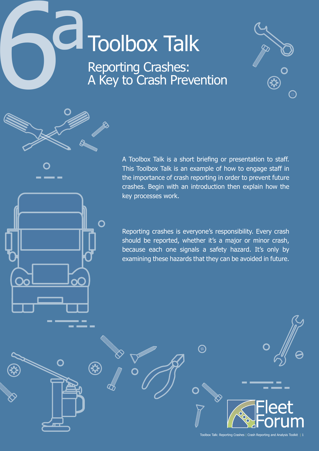# **CI** Toolbox Talk Reporting Crashes: A Key to Crash Prevention

O

\$



A Toolbox Talk is a short briefing or presentation to staff. This Toolbox Talk is an example of how to engage staff in the importance of crash reporting in order to prevent future crashes. Begin with an introduction then explain how the key processes work.

Reporting crashes is everyone's responsibility. Every crash should be reported, whether it's a major or minor crash, because each one signals a safety hazard. It's only by examining these hazards that they can be avoided in future.

 $\Omega$ 

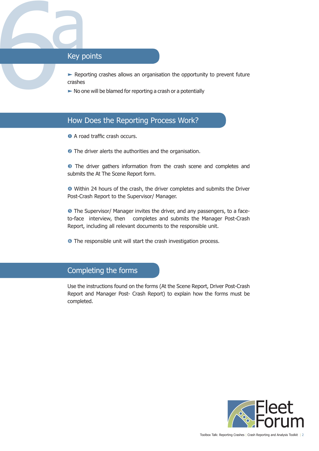

Key procession Reporting crashes allows an organisation the opportunity to prevent future crashes

 $\blacktriangleright$  No one will be blamed for reporting a crash or a potentially

## How Does the Reporting Process Work?

- **O** A road traffic crash occurs.
- **•** The driver alerts the authorities and the organisation.

**•** The driver gathers information from the crash scene and completes and submits the At The Scene Report form.

 Within 24 hours of the crash, the driver completes and submits the Driver Post-Crash Report to the Supervisor/ Manager.

**•** The Supervisor/ Manager invites the driver, and any passengers, to a faceto-face interview, then completes and submits the Manager Post-Crash Report, including all relevant documents to the responsible unit.

**The responsible unit will start the crash investigation process.** 

#### Completing the forms

Use the instructions found on the forms (At the Scene Report, Driver Post-Crash Report and Manager Post- Crash Report) to explain how the forms must be completed.